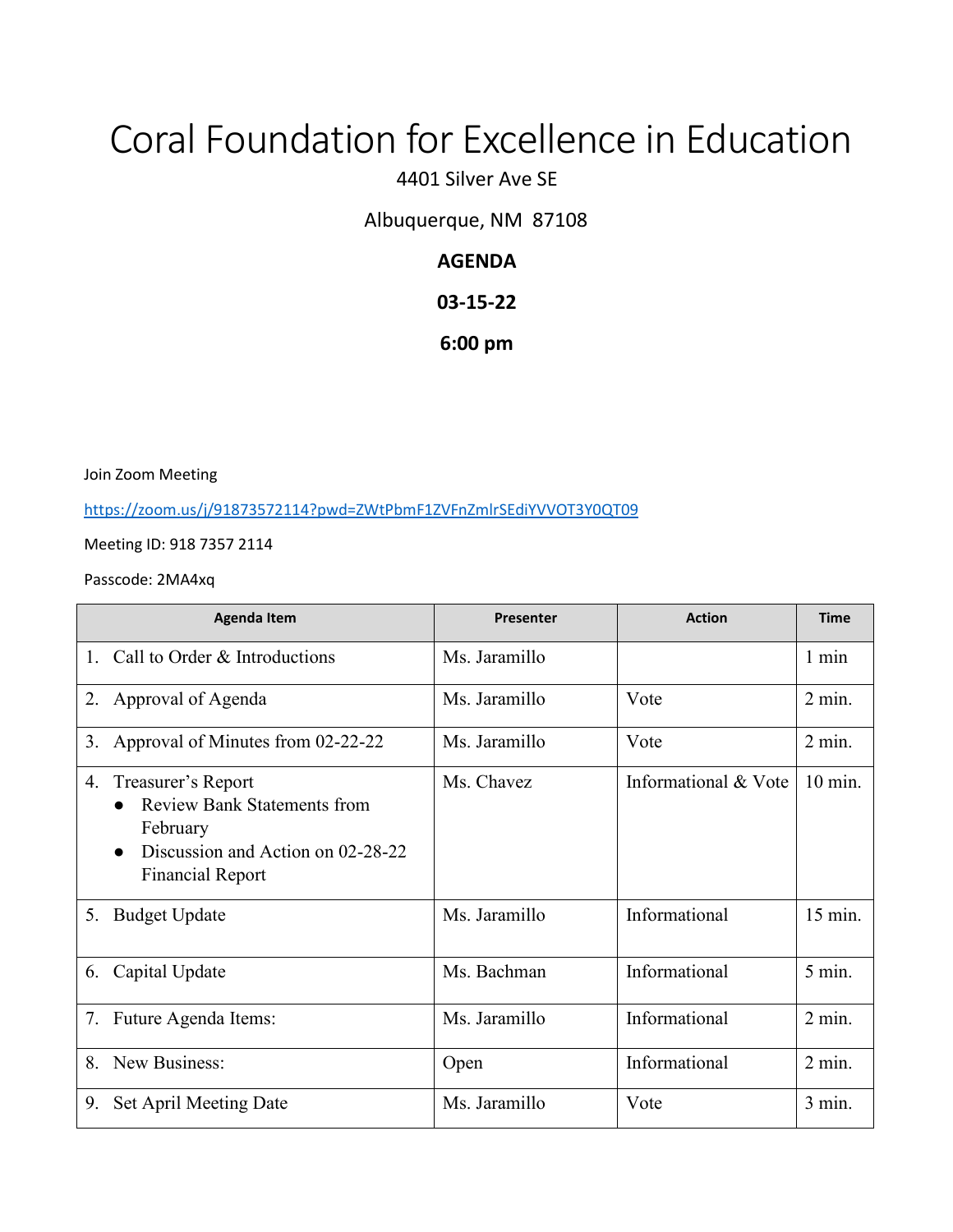# Coral Foundation for Excellence in Education

4401 Silver Ave SE

Albuquerque, NM 87108

## **AGENDA**

## **03-15-22**

## **6:00 pm**

Join Zoom Meeting

<https://zoom.us/j/91873572114?pwd=ZWtPbmF1ZVFnZmlrSEdiYVVOT3Y0QT09>

Meeting ID: 918 7357 2114

#### Passcode: 2MA4xq

|    | <b>Agenda Item</b>                                                                                                                   | Presenter     | <b>Action</b>        | <b>Time</b> |
|----|--------------------------------------------------------------------------------------------------------------------------------------|---------------|----------------------|-------------|
|    | Call to Order & Introductions                                                                                                        | Ms. Jaramillo |                      | 1 min       |
| 2. | Approval of Agenda                                                                                                                   | Ms. Jaramillo | Vote                 | $2$ min.    |
| 3. | Approval of Minutes from 02-22-22                                                                                                    | Ms. Jaramillo | Vote                 | $2$ min.    |
| 4. | Treasurer's Report<br><b>Review Bank Statements from</b><br>February<br>Discussion and Action on 02-28-22<br><b>Financial Report</b> | Ms. Chavez    | Informational & Vote | 10 min.     |
| 5. | <b>Budget Update</b>                                                                                                                 | Ms. Jaramillo | Informational        | 15 min.     |
| 6. | Capital Update                                                                                                                       | Ms. Bachman   | Informational        | 5 min.      |
| 7. | Future Agenda Items:                                                                                                                 | Ms. Jaramillo | Informational        | $2$ min.    |
| 8. | New Business:                                                                                                                        | Open          | Informational        | $2$ min.    |
| 9. | Set April Meeting Date                                                                                                               | Ms. Jaramillo | Vote                 | 3 min.      |